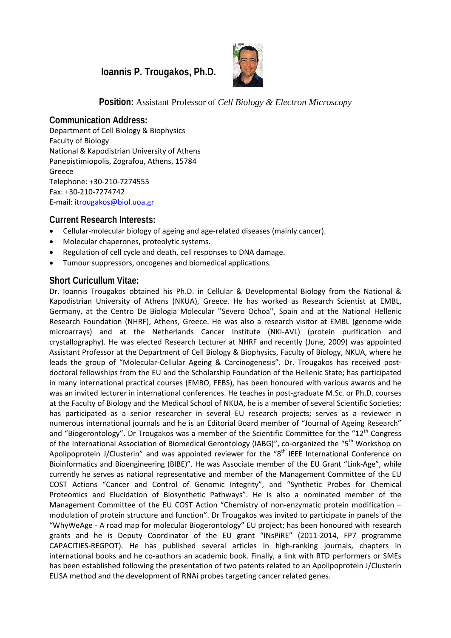# **Ioannis P. Trougakos, Ph.D.**



**Position:** Assistant Professor of *Cell Biology & Electron Microscopy*

**Communication Address:**  Department of Cell Biology & Biophysics Faculty of Biology National & Kapodistrian University of Athens Panepistimiopolis, Zografou, Athens, 15784 Greece Telephone: +30‐210‐7274555 Fax: +30‐210‐7274742 E‐mail: itrougakos@biol.uoa.gr

# **Current Research Interests:**

- Cellular‐molecular biology of ageing and age‐related diseases (mainly cancer).
- Molecular chaperones, proteolytic systems.
- Regulation of cell cycle and death, cell responses tο DNA damage.
- Tumour suppressors, oncogenes and biomedical applications.

#### **Short Curicullum Vitae:**

Dr. Ioannis Trougakos obtained his Ph.D. in Cellular & Developmental Biology from the National & Kapodistrian University of Athens (NKUA), Greece. He has worked as Research Scientist at EMBL, Germany, at the Centro De Biologia Molecular ''Severo Ochoa'', Spain and at the National Hellenic Research Foundation (NHRF), Athens, Greece. He was also a research visitor at EMBL (genome‐wide microarrays) and at the Netherlands Cancer Institute (NKI‐AVL) (protein purification and crystallography). He was elected Research Lecturer at NHRF and recently (June, 2009) was appointed Assistant Professor at the Department of Cell Biology & Biophysics, Faculty of Biology, NKUA, where he leads the group of "Molecular‐Cellular Ageing & Carcinogenesis"*.* Dr. Trougakos has received post‐ doctoral fellowships from the EU and the Scholarship Foundation of the Hellenic State; has participated in many international practical courses (EMBO, FEBS), has been honoured with various awards and he was an invited lecturer in international conferences. He teaches in post-graduate M.Sc. or Ph.D. courses at the Faculty of Biology and the Medical School of NKUA, he is a member of several Scientific Societies; has participated as a senior researcher in several EU research projects; serves as a reviewer in numerous international journals and he is an Editorial Board member of "Journal of Ageing Research" and "Biogerontology". Dr Trougakos was a member of the Scientific Committee for the "12<sup>th</sup> Congress of the International Association of Biomedical Gerontology (IABG)", co-organized the "5<sup>th</sup> Workshop on Apolipoprotein J/Clusterin" and was appointed reviewer for the "8<sup>th</sup> IEEE International Conference on Bioinformatics and Bioengineering (BIBE)". He was Associate member of the EU Grant "Link‐Age", while currently he serves as national representative and member of the Management Committee of the EU COST Actions "Cancer and Control of Genomic Integrity", and "Synthetic Probes for Chemical Proteomics and Elucidation of Biosynthetic Pathways". He is also a nominated member of the Management Committee of the EU COST Action "Chemistry of non-enzymatic protein modification – modulation of protein structure and function". Dr Trougakos was invited to participate in panels of the "WhyWeAge ‐ A road map for molecular Biogerontology" EU project; has been honoured with research grants and he is Deputy Coordinator of the EU grant "INsPiRE" (2011‐2014, FP7 programme CAPACITIES‐REGPOT). He has published several articles in high‐ranking journals, chapters in international books and he co-authors an academic book. Finally, a link with RTD performers or SMEs has been established following the presentation of two patents related to an Apolipoprotein J/Clusterin ELISA method and the development of RNAi probes targeting cancer related genes.